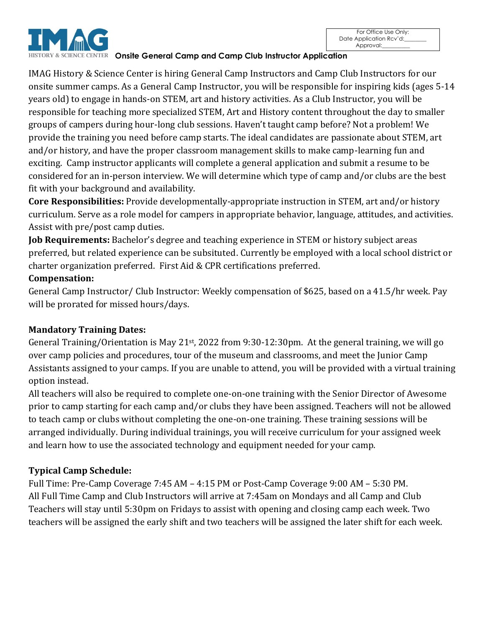



**HISTORY & SCIENCE CENTER Onsite General Camp and Camp Club Instructor Application** 

IMAG History & Science Center is hiring General Camp Instructors and Camp Club Instructors for our onsite summer camps. As a General Camp Instructor, you will be responsible for inspiring kids (ages 5-14 years old) to engage in hands-on STEM, art and history activities. As a Club Instructor, you will be responsible for teaching more specialized STEM, Art and History content throughout the day to smaller groups of campers during hour-long club sessions. Haven't taught camp before? Not a problem! We provide the training you need before camp starts. The ideal candidates are passionate about STEM, art and/or history, and have the proper classroom management skills to make camp-learning fun and exciting. Camp instructor applicants will complete a general application and submit a resume to be considered for an in-person interview. We will determine which type of camp and/or clubs are the best fit with your background and availability.

**Core Responsibilities:** Provide developmentally-appropriate instruction in STEM, art and/or history curriculum. Serve as a role model for campers in appropriate behavior, language, attitudes, and activities. Assist with pre/post camp duties.

**Job Requirements:** Bachelor's degree and teaching experience in STEM or history subject areas preferred, but related experience can be subsituted. Currently be employed with a local school district or charter organization preferred. First Aid & CPR certifications preferred.

## **Compensation:**

General Camp Instructor/ Club Instructor: Weekly compensation of \$625, based on a 41.5/hr week. Pay will be prorated for missed hours/days.

## **Mandatory Training Dates:**

General Training/Orientation is May 21st, 2022 from 9:30-12:30pm. At the general training, we will go over camp policies and procedures, tour of the museum and classrooms, and meet the Junior Camp Assistants assigned to your camps. If you are unable to attend, you will be provided with a virtual training option instead.

All teachers will also be required to complete one-on-one training with the Senior Director of Awesome prior to camp starting for each camp and/or clubs they have been assigned. Teachers will not be allowed to teach camp or clubs without completing the one-on-one training. These training sessions will be arranged individually. During individual trainings, you will receive curriculum for your assigned week and learn how to use the associated technology and equipment needed for your camp.

## **Typical Camp Schedule:**

Full Time: Pre-Camp Coverage 7:45 AM – 4:15 PM or Post-Camp Coverage 9:00 AM – 5:30 PM. All Full Time Camp and Club Instructors will arrive at 7:45am on Mondays and all Camp and Club Teachers will stay until 5:30pm on Fridays to assist with opening and closing camp each week. Two teachers will be assigned the early shift and two teachers will be assigned the later shift for each week.